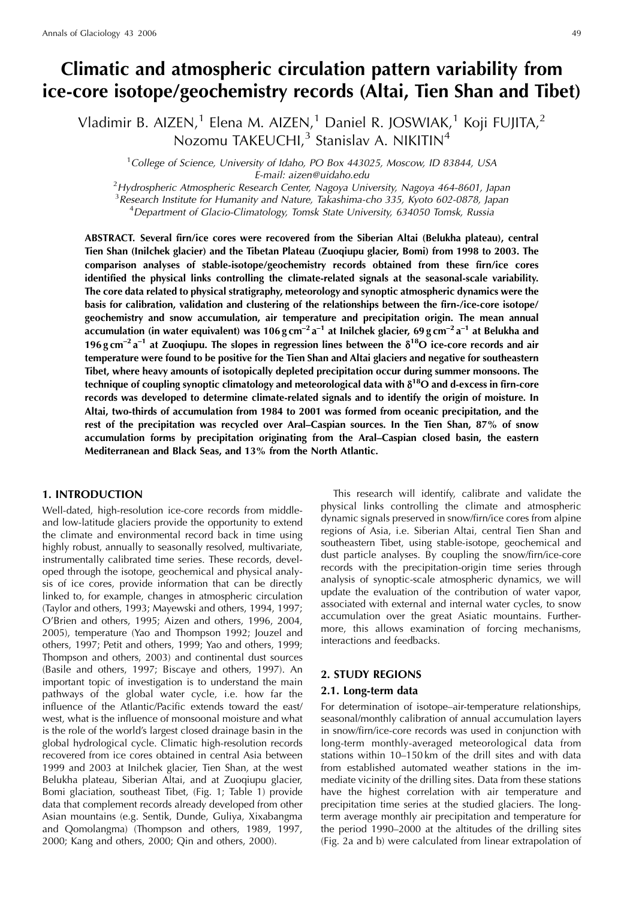# **Climatic and atmospheric circulation pattern variability from ice-core isotope/geochemistry records (Altai, Tien Shan and Tibet)**

Vladimir B. AIZEN, $^1$  Elena M. AIZEN, $^1$  Daniel R. JOSWIAK, $^1$  Koji FUJITA, $^2$ Nozomu TAKEUCHI,<sup>3</sup> Stanislav A. NIKITIN<sup>4</sup>

<sup>1</sup>College of Science, University of Idaho, PO Box 443025, Moscow, ID 83844, USA

E-mail: aizen@uidaho.edu<br><sup>2</sup>Hydrospheric Atmospheric Research Center, Nagoya University, Nagoya 464-8601, Japan

<sup>3</sup> Research Institute for Humanity and Nature, Takashima-cho 335, Kyoto 602-0878, Japan <sup>4</sup> Department of Glacio Climatelegy Tomek, State University 634050 Tomek, Russia

<sup>4</sup>Department of Glacio-Climatology, Tomsk State University, 634050 Tomsk, Russia

**ABSTRACT. Several firn/ice cores were recovered from the Siberian Altai (Belukha plateau), central Tien Shan (Inilchek glacier) and the Tibetan Plateau (Zuoqiupu glacier, Bomi) from 1998 to 2003. The comparison analyses of stable-isotope/geochemistry records obtained from these firn/ice cores identified the physical links controlling the climate-related signals at the seasonal-scale variability. The core data related to physical stratigraphy, meteorology and synoptic atmospheric dynamics were the basis for calibration, validation and clustering of the relationships between the firn-/ice-core isotope/ geochemistry and snow accumulation, air temperature and precipitation origin. The mean annual accumulation (in water equivalent) was 106 g cm–2 a–1 at Inilchek glacier, 69 g cm–2 a–1 at Belukha and 196 g cm<sup>** $-2$ **</sup> a<sup>-1</sup> at Zuoqiupu. The slopes in regression lines between the**  $\delta^{18}$ **O ice-core records and air temperature were found to be positive for the Tien Shan and Altai glaciers and negative for southeastern Tibet, where heavy amounts of isotopically depleted precipitation occur during summer monsoons. The** technique of coupling synoptic climatology and meteorological data with δ<sup>18</sup>O and d-excess in firn-core **records was developed to determine climate-related signals and to identify the origin of moisture. In Altai, two-thirds of accumulation from 1984 to 2001 was formed from oceanic precipitation, and the rest of the precipitation was recycled over Aral–Caspian sources. In the Tien Shan, 87% of snow accumulation forms by precipitation originating from the Aral–Caspian closed basin, the eastern Mediterranean and Black Seas, and 13% from the North Atlantic.**

## **1. INTRODUCTION**

Well-dated, high-resolution ice-core records from middleand low-latitude glaciers provide the opportunity to extend the climate and environmental record back in time using highly robust, annually to seasonally resolved, multivariate, instrumentally calibrated time series. These records, developed through the isotope, geochemical and physical analysis of ice cores, provide information that can be directly linked to, for example, changes in atmospheric circulation (Taylor and others, 1993; Mayewski and others, 1994, 1997; O'Brien and others, 1995; Aizen and others, 1996, 2004, 2005), temperature (Yao and Thompson 1992; Jouzel and others, 1997; Petit and others, 1999; Yao and others, 1999; Thompson and others, 2003) and continental dust sources (Basile and others, 1997; Biscaye and others, 1997). An important topic of investigation is to understand the main pathways of the global water cycle, i.e. how far the influence of the Atlantic/Pacific extends toward the east/ west, what is the influence of monsoonal moisture and what is the role of the world's largest closed drainage basin in the global hydrological cycle. Climatic high-resolution records recovered from ice cores obtained in central Asia between 1999 and 2003 at Inilchek glacier, Tien Shan, at the west Belukha plateau, Siberian Altai, and at Zuogiupu glacier, Bomi glaciation, southeast Tibet, (Fig. 1; Table 1) provide data that complement records already developed from other Asian mountains (e.g. Sentik, Dunde, Guliya, Xixabangma and Qomolangma) (Thompson and others, 1989, 1997, 2000; Kang and others, 2000; Qin and others, 2000).

This research will identify, calibrate and validate the physical links controlling the climate and atmospheric dynamic signals preserved in snow/firn/ice cores from alpine regions of Asia, i.e. Siberian Altai, central Tien Shan and southeastern Tibet, using stable-isotope, geochemical and dust particle analyses. By coupling the snow/firn/ice-core records with the precipitation-origin time series through analysis of synoptic-scale atmospheric dynamics, we will update the evaluation of the contribution of water vapor, associated with external and internal water cycles, to snow accumulation over the great Asiatic mountains. Furthermore, this allows examination of forcing mechanisms, interactions and feedbacks.

## **2. STUDY REGIONS**

#### **2.1. Long-term data**

For determination of isotope–air-temperature relationships, seasonal/monthly calibration of annual accumulation layers in snow/firn/ice-core records was used in conjunction with long-term monthly-averaged meteorological data from stations within 10–150 km of the drill sites and with data from established automated weather stations in the immediate vicinity of the drilling sites. Data from these stations have the highest correlation with air temperature and precipitation time series at the studied glaciers. The longterm average monthly air precipitation and temperature for the period 1990–2000 at the altitudes of the drilling sites (Fig. 2a and b) were calculated from linear extrapolation of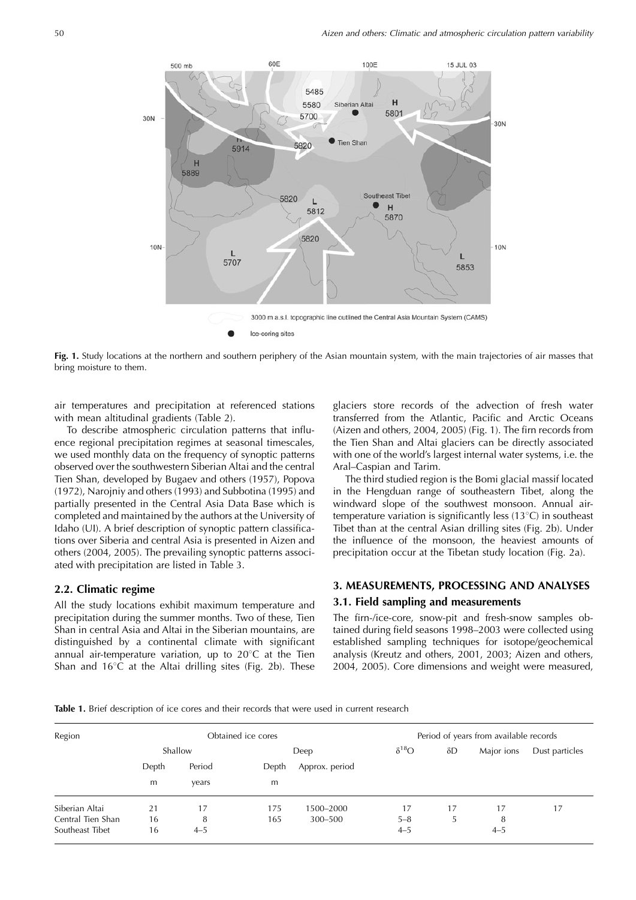

**Fig. 1.** Study locations at the northern and southern periphery of the Asian mountain system, with the main trajectories of air masses that bring moisture to them.

air temperatures and precipitation at referenced stations with mean altitudinal gradients (Table 2).

To describe atmospheric circulation patterns that influence regional precipitation regimes at seasonal timescales, we used monthly data on the frequency of synoptic patterns observed over the southwestern Siberian Altai and the central Tien Shan, developed by Bugaev and others (1957), Popova (1972), Narojniy and others (1993) and Subbotina (1995) and partially presented in the Central Asia Data Base which is completed and maintained by the authors at the University of Idaho (UI). A brief description of synoptic pattern classifications over Siberia and central Asia is presented in Aizen and others (2004, 2005). The prevailing synoptic patterns associated with precipitation are listed in Table 3.

## **2.2. Climatic regime**

All the study locations exhibit maximum temperature and precipitation during the summer months. Two of these, Tien Shan in central Asia and Altai in the Siberian mountains, are distinguished by a continental climate with significant annual air-temperature variation, up to  $20^{\circ}$ C at the Tien Shan and  $16^{\circ}$ C at the Altai drilling sites (Fig. 2b). These glaciers store records of the advection of fresh water transferred from the Atlantic, Pacific and Arctic Oceans (Aizen and others, 2004, 2005) (Fig. 1). The firn records from the Tien Shan and Altai glaciers can be directly associated with one of the world's largest internal water systems, i.e. the Aral–Caspian and Tarim.

The third studied region is the Bomi glacial massif located in the Hengduan range of southeastern Tibet, along the windward slope of the southwest monsoon. Annual airtemperature variation is significantly less  $(13^{\circ}C)$  in southeast Tibet than at the central Asian drilling sites (Fig. 2b). Under the influence of the monsoon, the heaviest amounts of precipitation occur at the Tibetan study location (Fig. 2a).

## **3. MEASUREMENTS, PROCESSING AND ANALYSES**

#### **3.1. Field sampling and measurements**

The firn-/ice-core, snow-pit and fresh-snow samples obtained during field seasons 1998–2003 were collected using established sampling techniques for isotope/geochemical analysis (Kreutz and others, 2001, 2003; Aizen and others, 2004, 2005). Core dimensions and weight were measured,

**Table 1.** Brief description of ice cores and their records that were used in current research

| Region            |       |         | Obtained ice cores |                | Period of years from available records |            |            |                |  |  |
|-------------------|-------|---------|--------------------|----------------|----------------------------------------|------------|------------|----------------|--|--|
|                   |       | Shallow |                    | Deep           | $\delta^{18}O$                         | $\delta D$ | Major ions | Dust particles |  |  |
|                   | Depth | Period  | Depth              | Approx. period |                                        |            |            |                |  |  |
|                   | m     | years   | m                  |                |                                        |            |            |                |  |  |
| Siberian Altai    | 21    | 17      | 175                | 1500-2000      | 17                                     | 17         | 17         | 17             |  |  |
| Central Tien Shan | 16    | 8       | 165                | 300-500        | $5 - 8$                                | 5          | 8          |                |  |  |
| Southeast Tibet   | 16    | $4 - 5$ |                    |                | $4 - 5$                                |            | $4 - 5$    |                |  |  |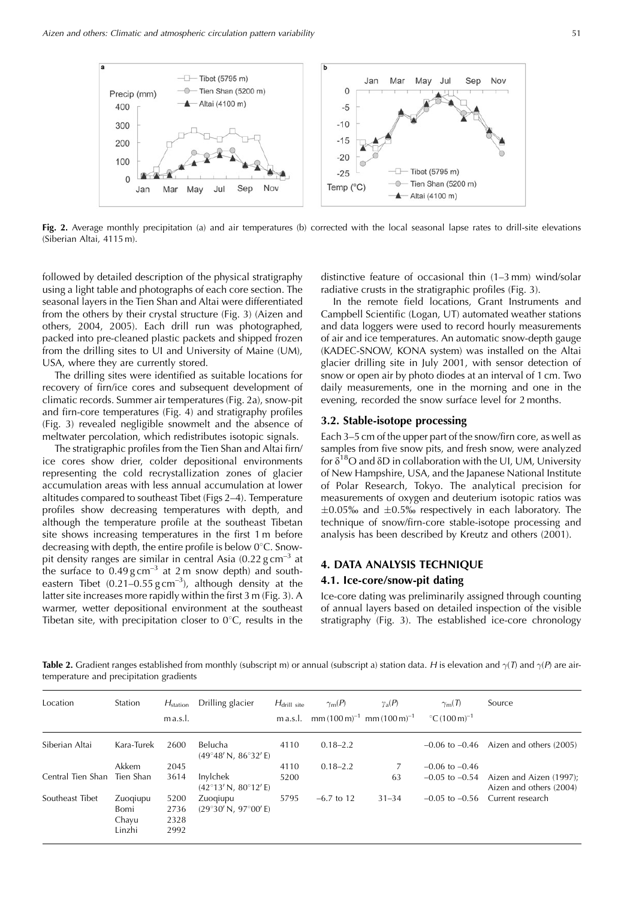

**Fig. 2.** Average monthly precipitation (a) and air temperatures (b) corrected with the local seasonal lapse rates to drill-site elevations (Siberian Altai, 4115 m).

followed by detailed description of the physical stratigraphy using a light table and photographs of each core section. The seasonal layers in the Tien Shan and Altai were differentiated from the others by their crystal structure (Fig. 3) (Aizen and others, 2004, 2005). Each drill run was photographed, packed into pre-cleaned plastic packets and shipped frozen from the drilling sites to UI and University of Maine (UM), USA, where they are currently stored.

The drilling sites were identified as suitable locations for recovery of firn/ice cores and subsequent development of climatic records. Summer air temperatures (Fig. 2a), snow-pit and firn-core temperatures (Fig. 4) and stratigraphy profiles (Fig. 3) revealed negligible snowmelt and the absence of meltwater percolation, which redistributes isotopic signals.

The stratigraphic profiles from the Tien Shan and Altai firn/ ice cores show drier, colder depositional environments representing the cold recrystallization zones of glacier accumulation areas with less annual accumulation at lower altitudes compared to southeast Tibet (Figs 2–4). Temperature profiles show decreasing temperatures with depth, and although the temperature profile at the southeast Tibetan site shows increasing temperatures in the first 1 m before decreasing with depth, the entire profile is below  $0^{\circ}$ C. Snowpit density ranges are similar in central Asia  $(0.22 \text{ g cm}^{-3})$  at the surface to  $0.49$  g cm<sup>-3</sup> at 2 m snow depth) and southeastern Tibet  $(0.21-0.55 \text{ g cm}^{-3})$ , although density at the latter site increases more rapidly within the first 3 m (Fig. 3). A warmer, wetter depositional environment at the southeast Tibetan site, with precipitation closer to  $0^{\circ}$ C, results in the

distinctive feature of occasional thin (1–3 mm) wind/solar radiative crusts in the stratigraphic profiles (Fig. 3).

In the remote field locations, Grant Instruments and Campbell Scientific (Logan, UT) automated weather stations and data loggers were used to record hourly measurements of air and ice temperatures. An automatic snow-depth gauge (KADEC-SNOW, KONA system) was installed on the Altai glacier drilling site in July 2001, with sensor detection of snow or open air by photo diodes at an interval of 1 cm. Two daily measurements, one in the morning and one in the evening, recorded the snow surface level for 2 months.

## **3.2. Stable-isotope processing**

Each 3–5 cm of the upper part of the snow/firn core, as well as samples from five snow pits, and fresh snow, were analyzed for  $\delta^{18}O$  and  $\delta D$  in collaboration with the UI, UM, University of New Hampshire, USA, and the Japanese National Institute of Polar Research, Tokyo. The analytical precision for measurements of oxygen and deuterium isotopic ratios was  $\pm 0.05\%$  and  $\pm 0.5\%$  respectively in each laboratory. The technique of snow/firn-core stable-isotope processing and analysis has been described by Kreutz and others (2001).

## **4. DATA ANALYSIS TECHNIQUE**

## **4.1. Ice-core/snow-pit dating**

Ice-core dating was preliminarily assigned through counting of annual layers based on detailed inspection of the visible stratigraphy (Fig. 3). The established ice-core chronology

**Table 2.** Gradient ranges established from monthly (subscript m) or annual (subscript a) station data. H is elevation and  $\gamma(T)$  and  $\gamma(P)$  are airtemperature and precipitation gradients

| Location                    | Station                             | $H_{\text{station}}$<br>m a.s.l. | Drilling glacier                                 | $H_{\text{drill site}}$<br>m a.s.l. | $\gamma_{\rm m}(P)$ | $\gamma_{\rm a}(P)$<br>mm $(100 \text{ m})^{-1}$ mm $(100 \text{ m})^{-1}$ | $\gamma_{\rm m}(T)$<br>$^{\circ}$ C (100 m) <sup>-1</sup> | Source                                                                |
|-----------------------------|-------------------------------------|----------------------------------|--------------------------------------------------|-------------------------------------|---------------------|----------------------------------------------------------------------------|-----------------------------------------------------------|-----------------------------------------------------------------------|
| Siberian Altai              | Kara-Turek                          | 2600                             | Belucha<br>$(49^{\circ}48' N, 86^{\circ}32' E)$  | 4110                                | $0.18 - 2.2$        |                                                                            |                                                           | $-0.06$ to $-0.46$ Aizen and others (2005)                            |
|                             | Akkem                               | 2045                             |                                                  | 4110                                | $0.18 - 2.2$        |                                                                            | $-0.06$ to $-0.46$                                        |                                                                       |
| Central Tien Shan Tien Shan |                                     | 3614                             | Invlchek<br>$(42^{\circ}13' N, 80^{\circ}12' E)$ | 5200                                |                     | 63                                                                         |                                                           | $-0.05$ to $-0.54$ Aizen and Aizen (1997);<br>Aizen and others (2004) |
| Southeast Tibet             | Zuogiupu<br>Bomi<br>Chavu<br>Linzhi | 5200<br>2736<br>2328<br>2992     | Zuogiupu<br>(29°30' N. 97°00' E)                 | 5795                                | $-6.7$ to 12        | $31 - 34$                                                                  |                                                           | $-0.05$ to $-0.56$ Current research                                   |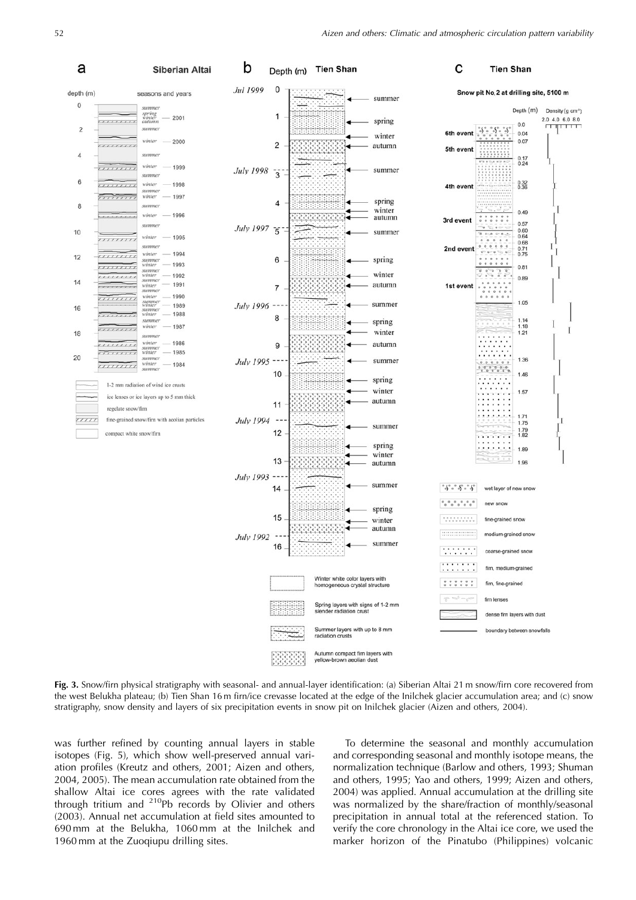

**Fig. 3.** Snow/firn physical stratigraphy with seasonal- and annual-layer identification: (a) Siberian Altai 21 m snow/firn core recovered from the west Belukha plateau; (b) Tien Shan 16 m firn/ice crevasse located at the edge of the Inilchek glacier accumulation area; and (c) snow stratigraphy, snow density and layers of six precipitation events in snow pit on Inilchek glacier (Aizen and others, 2004).

was further refined by counting annual layers in stable isotopes (Fig. 5), which show well-preserved annual variation profiles (Kreutz and others, 2001; Aizen and others, 2004, 2005). The mean accumulation rate obtained from the shallow Altai ice cores agrees with the rate validated through tritium and  $^{210}Pb$  records by Olivier and others (2003). Annual net accumulation at field sites amounted to 690 mm at the Belukha, 1060 mm at the Inilchek and 1960 mm at the Zuoqiupu drilling sites.

To determine the seasonal and monthly accumulation and corresponding seasonal and monthly isotope means, the normalization technique (Barlow and others, 1993; Shuman and others, 1995; Yao and others, 1999; Aizen and others, 2004) was applied. Annual accumulation at the drilling site was normalized by the share/fraction of monthly/seasonal precipitation in annual total at the referenced station. To verify the core chronology in the Altai ice core, we used the marker horizon of the Pinatubo (Philippines) volcanic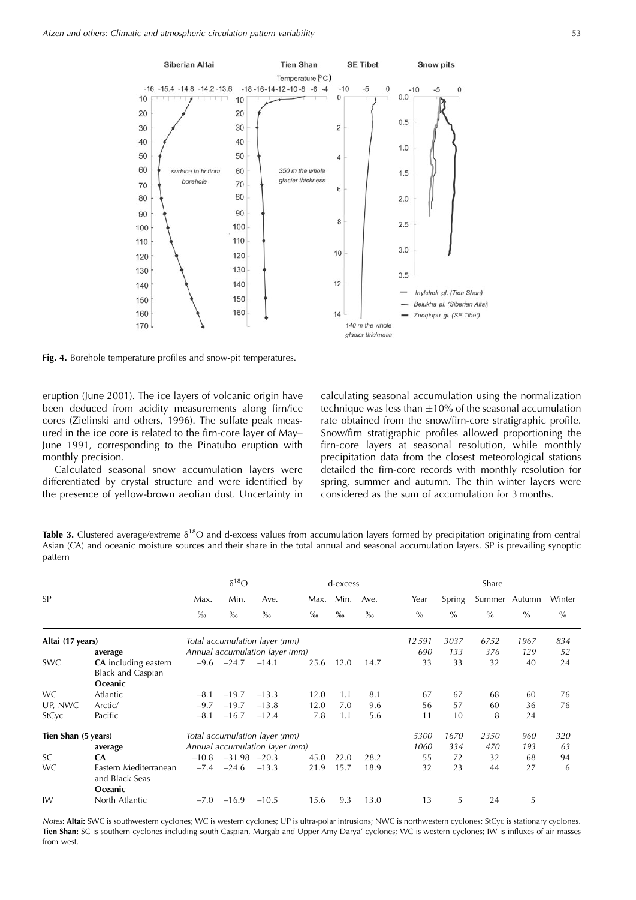

**Fig. 4.** Borehole temperature profiles and snow-pit temperatures.

eruption (June 2001). The ice layers of volcanic origin have been deduced from acidity measurements along firn/ice cores (Zielinski and others, 1996). The sulfate peak measured in the ice core is related to the firn-core layer of May– June 1991, corresponding to the Pinatubo eruption with monthly precision.

Calculated seasonal snow accumulation layers were differentiated by crystal structure and were identified by the presence of yellow-brown aeolian dust. Uncertainty in

calculating seasonal accumulation using the normalization technique was less than  $\pm 10\%$  of the seasonal accumulation rate obtained from the snow/firn-core stratigraphic profile. Snow/firn stratigraphic profiles allowed proportioning the firn-core layers at seasonal resolution, while monthly precipitation data from the closest meteorological stations detailed the firn-core records with monthly resolution for spring, summer and autumn. The thin winter layers were considered as the sum of accumulation for 3 months.

**Table 3.** Clustered average/extreme  $\delta^{18}O$  and d-excess values from accumulation layers formed by precipitation originating from central Asian (CA) and oceanic moisture sources and their share in the total annual and seasonal accumulation layers. SP is prevailing synoptic pattern

|                     |                                                           | $\delta^{18}O$    |                  |                                | d-excess |                   |      |               |               | Share         |               |               |
|---------------------|-----------------------------------------------------------|-------------------|------------------|--------------------------------|----------|-------------------|------|---------------|---------------|---------------|---------------|---------------|
| <b>SP</b>           |                                                           | Max.              | Min.             | Ave.                           | Max.     | Min.              | Ave. | Year          | Spring        |               | Summer Autumn | Winter        |
|                     |                                                           | $\%$ <sub>0</sub> | $\%$             | $\%$                           | $\%$     | $\%$ <sub>0</sub> | $\%$ | $\frac{0}{0}$ | $\frac{0}{0}$ | $\frac{0}{0}$ | $\%$          | $\frac{0}{0}$ |
| Altai (17 years)    |                                                           |                   |                  | Total accumulation layer (mm)  |          |                   |      | 12591         | 3037          | 6752          | 1967          | 834           |
|                     | average                                                   |                   |                  | Annual accumulation layer (mm) |          |                   |      | 690           | 133           | 376           | 129           | 52            |
| <b>SWC</b>          | CA including eastern<br><b>Black and Caspian</b>          | $-9.6$            | $-24.7$          | $-14.1$                        | 25.6     | 12.0              | 14.7 | 33            | 33            | 32            | 40            | 24            |
|                     | Oceanic                                                   |                   |                  |                                |          |                   |      |               |               |               |               |               |
| <b>WC</b>           | Atlantic                                                  | $-8.1$            | $-19.7$          | $-13.3$                        | 12.0     | 1.1               | 8.1  | 67            | 67            | 68            | 60            | 76            |
| UP, NWC             | Arctic/                                                   | $-9.7$            | $-19.7$          | $-13.8$                        | 12.0     | 7.0               | 9.6  | 56            | 57            | 60            | 36            | 76            |
| <b>StCyc</b>        | Pacific                                                   | $-8.1$            | $-16.7$          | $-12.4$                        | 7.8      | 1.1               | 5.6  | 11            | 10            | 8             | 24            |               |
| Tien Shan (5 years) |                                                           |                   |                  | Total accumulation layer (mm)  |          |                   |      | 5300          | 1670          | 2350          | 960           | 320           |
|                     | average                                                   |                   |                  | Annual accumulation layer (mm) |          |                   |      | 1060          | 334           | 470           | 193           | 63            |
| SC                  | <b>CA</b>                                                 | $-10.8$           | $-31.98$ $-20.3$ |                                | 45.0     | 22.0              | 28.2 | 55            | 72            | 32            | 68            | 94            |
| WC                  | Eastern Mediterranean<br>and Black Seas<br><b>Oceanic</b> | $-7.4$            | $-24.6$          | $-13.3$                        | 21.9     | 15.7              | 18.9 | 32            | 23            | 44            | 27            | 6             |
| IW                  | North Atlantic                                            | $-7.0$            | $-16.9$          | $-10.5$                        | 15.6     | 9.3               | 13.0 | 13            | 5             | 24            | 5             |               |

Notes: **Altai:** SWC is southwestern cyclones; WC is western cyclones; UP is ultra-polar intrusions; NWC is northwestern cyclones; StCyc is stationary cyclones. **Tien Shan:** SC is southern cyclones including south Caspian, Murgab and Upper Amy Darya' cyclones; WC is western cyclones; IW is influxes of air masses from west.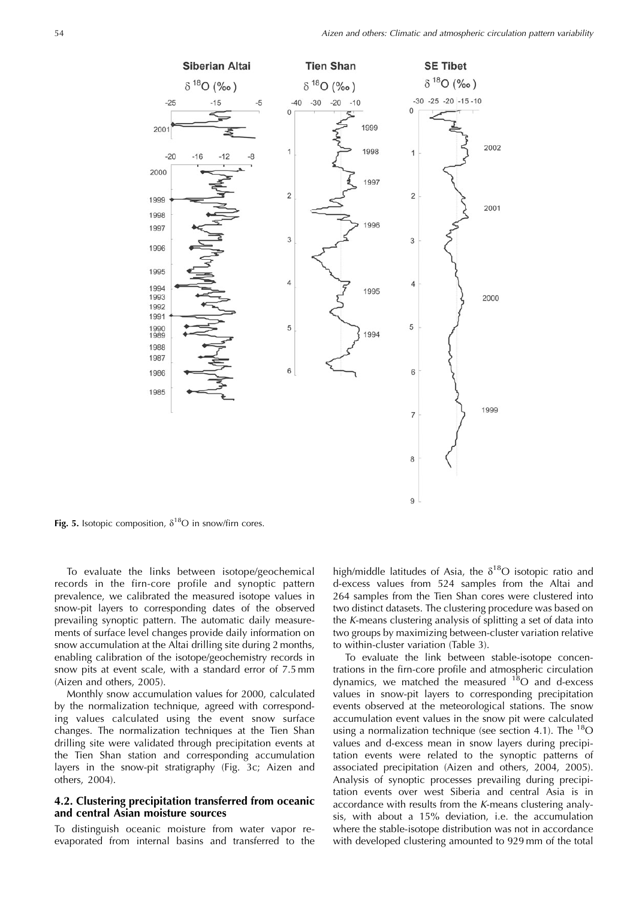

Fig. 5. Isotopic composition,  $\delta^{18}O$  in snow/firn cores.

To evaluate the links between isotope/geochemical records in the firn-core profile and synoptic pattern prevalence, we calibrated the measured isotope values in snow-pit layers to corresponding dates of the observed prevailing synoptic pattern. The automatic daily measurements of surface level changes provide daily information on snow accumulation at the Altai drilling site during 2 months, enabling calibration of the isotope/geochemistry records in snow pits at event scale, with a standard error of 7.5 mm (Aizen and others, 2005).

Monthly snow accumulation values for 2000, calculated by the normalization technique, agreed with corresponding values calculated using the event snow surface changes. The normalization techniques at the Tien Shan drilling site were validated through precipitation events at the Tien Shan station and corresponding accumulation layers in the snow-pit stratigraphy (Fig. 3c; Aizen and others, 2004).

## **4.2. Clustering precipitation transferred from oceanic and central Asian moisture sources**

To distinguish oceanic moisture from water vapor reevaporated from internal basins and transferred to the high/middle latitudes of Asia, the  $\delta^{18}O$  isotopic ratio and d-excess values from 524 samples from the Altai and 264 samples from the Tien Shan cores were clustered into two distinct datasets. The clustering procedure was based on the K-means clustering analysis of splitting a set of data into two groups by maximizing between-cluster variation relative to within-cluster variation (Table 3).

To evaluate the link between stable-isotope concentrations in the firn-core profile and atmospheric circulation dynamics, we matched the measured  $^{18}$ O and d-excess values in snow-pit layers to corresponding precipitation events observed at the meteorological stations. The snow accumulation event values in the snow pit were calculated using a normalization technique (see section 4.1). The  $^{18}$ O values and d-excess mean in snow layers during precipitation events were related to the synoptic patterns of associated precipitation (Aizen and others, 2004, 2005). Analysis of synoptic processes prevailing during precipitation events over west Siberia and central Asia is in accordance with results from the K-means clustering analysis, with about a 15% deviation, i.e. the accumulation where the stable-isotope distribution was not in accordance with developed clustering amounted to 929 mm of the total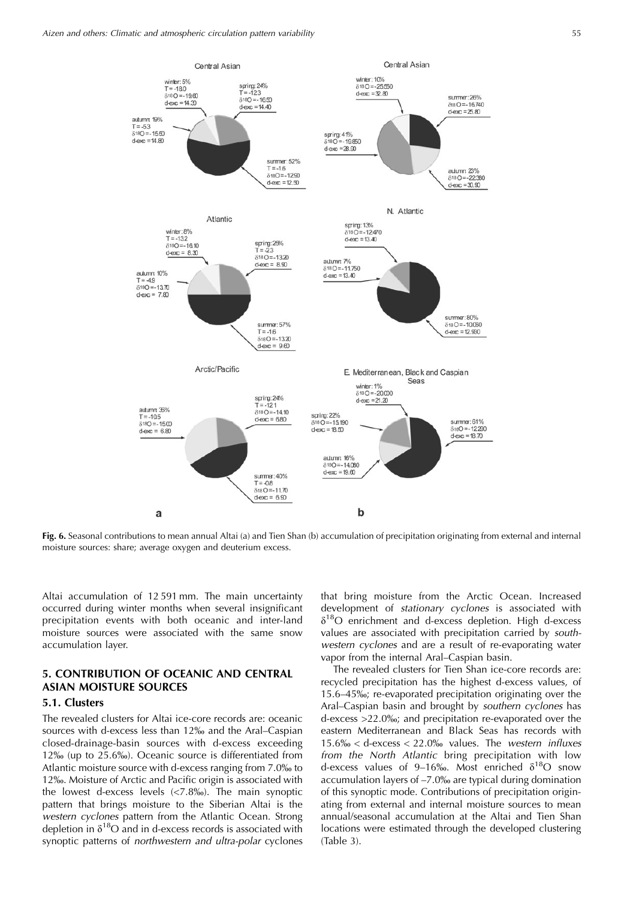

**Fig. 6.** Seasonal contributions to mean annual Altai (a) and Tien Shan (b) accumulation of precipitation originating from external and internal moisture sources: share; average oxygen and deuterium excess.

Altai accumulation of 12 591 mm. The main uncertainty occurred during winter months when several insignificant precipitation events with both oceanic and inter-land moisture sources were associated with the same snow accumulation layer.

## **5. CONTRIBUTION OF OCEANIC AND CENTRAL ASIAN MOISTURE SOURCES**

## **5.1. Clusters**

The revealed clusters for Altai ice-core records are: oceanic sources with d-excess less than 12% and the Aral–Caspian closed-drainage-basin sources with d-excess exceeding 12\% (up to 25.6\%). Oceanic source is differentiated from Atlantic moisture source with d-excess ranging from 7.0% to <sup>12</sup>%. Moisture of Arctic and Pacific origin is associated with the lowest d-excess levels  $\langle$ <7.8%%). The main synoptic pattern that brings moisture to the Siberian Altai is the western cyclones pattern from the Atlantic Ocean. Strong depletion in  $\delta^{18}O$  and in d-excess records is associated with synoptic patterns of northwestern and ultra-polar cyclones

that bring moisture from the Arctic Ocean. Increased development of stationary cyclones is associated with  $\delta^{18}$ O enrichment and d-excess depletion. High d-excess values are associated with precipitation carried by southwestern cyclones and are a result of re-evaporating water vapor from the internal Aral–Caspian basin.

The revealed clusters for Tien Shan ice-core records are: recycled precipitation has the highest d-excess values, of 15.6–45%; re-evaporated precipitation originating over the Aral–Caspian basin and brought by southern cyclones has d-excess >22.0%; and precipitation re-evaporated over the eastern Mediterranean and Black Seas has records with  $15.6\% <$  d-excess  $<$  22.0% values. The western influxes from the North Atlantic bring precipitation with low d-excess values of 9–16‰. Most enriched  $\delta^{18}O$  snow accumulation layers of –7.0% are typical during domination of this synoptic mode. Contributions of precipitation originating from external and internal moisture sources to mean annual/seasonal accumulation at the Altai and Tien Shan locations were estimated through the developed clustering (Table 3).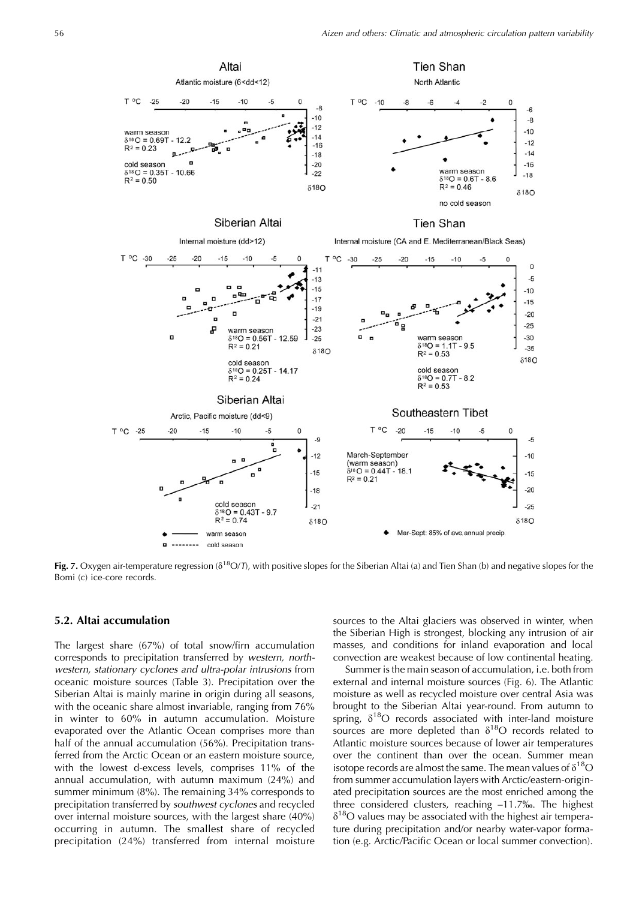

**Fig. 7.** Oxygen air-temperature regression ( $\delta^{18}O/D$ , with positive slopes for the Siberian Altai (a) and Tien Shan (b) and negative slopes for the Bomi (c) ice-core records.

#### **5.2. Altai accumulation**

The largest share (67%) of total snow/firn accumulation corresponds to precipitation transferred by western, northwestern, stationary cyclones and ultra-polar intrusions from oceanic moisture sources (Table 3). Precipitation over the Siberian Altai is mainly marine in origin during all seasons, with the oceanic share almost invariable, ranging from 76% in winter to 60% in autumn accumulation. Moisture evaporated over the Atlantic Ocean comprises more than half of the annual accumulation (56%). Precipitation transferred from the Arctic Ocean or an eastern moisture source, with the lowest d-excess levels, comprises 11% of the annual accumulation, with autumn maximum (24%) and summer minimum (8%). The remaining 34% corresponds to precipitation transferred by southwest cyclones and recycled over internal moisture sources, with the largest share (40%) occurring in autumn. The smallest share of recycled precipitation (24%) transferred from internal moisture

sources to the Altai glaciers was observed in winter, when the Siberian High is strongest, blocking any intrusion of air masses, and conditions for inland evaporation and local convection are weakest because of low continental heating.

Summer is the main season of accumulation, i.e. both from external and internal moisture sources (Fig. 6). The Atlantic moisture as well as recycled moisture over central Asia was brought to the Siberian Altai year-round. From autumn to spring,  $\delta^{18}O$  records associated with inter-land moisture sources are more depleted than  $\delta^{18}O$  records related to Atlantic moisture sources because of lower air temperatures over the continent than over the ocean. Summer mean isotope records are almost the same. The mean values of  $\delta^{18}O$ from summer accumulation layers with Arctic/eastern-originated precipitation sources are the most enriched among the three considered clusters, reaching –11.7%. The highest  $\delta^{18}$ O values may be associated with the highest air temperature during precipitation and/or nearby water-vapor formation (e.g. Arctic/Pacific Ocean or local summer convection).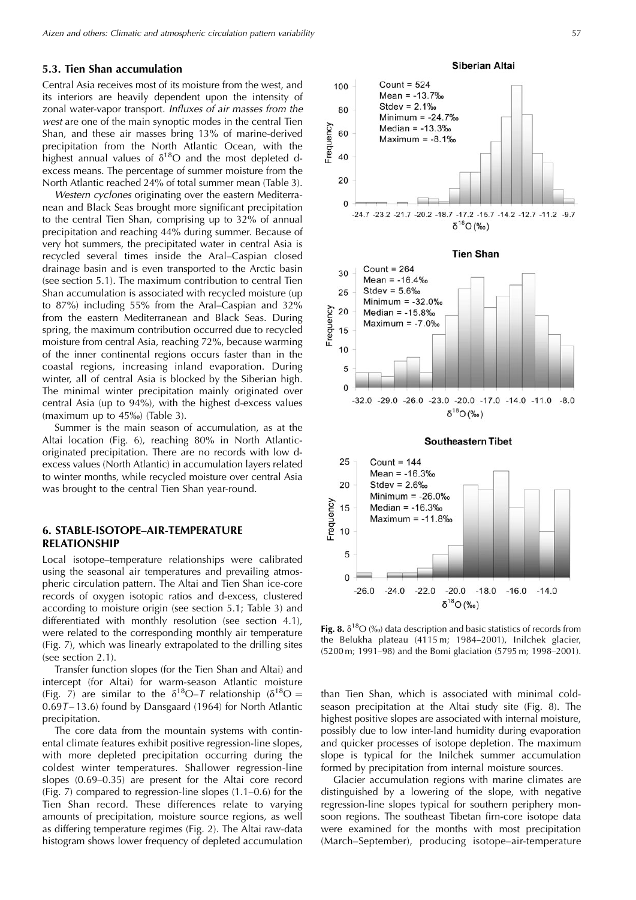#### **5.3. Tien Shan accumulation**

Central Asia receives most of its moisture from the west, and its interiors are heavily dependent upon the intensity of zonal water-vapor transport. Influxes of air masses from the west are one of the main synoptic modes in the central Tien Shan, and these air masses bring 13% of marine-derived precipitation from the North Atlantic Ocean, with the highest annual values of  $\delta^{18}O$  and the most depleted dexcess means. The percentage of summer moisture from the North Atlantic reached 24% of total summer mean (Table 3).

Western cyclones originating over the eastern Mediterranean and Black Seas brought more significant precipitation to the central Tien Shan, comprising up to 32% of annual precipitation and reaching 44% during summer. Because of very hot summers, the precipitated water in central Asia is recycled several times inside the Aral–Caspian closed drainage basin and is even transported to the Arctic basin (see section 5.1). The maximum contribution to central Tien Shan accumulation is associated with recycled moisture (up to 87%) including 55% from the Aral–Caspian and 32% from the eastern Mediterranean and Black Seas. During spring, the maximum contribution occurred due to recycled moisture from central Asia, reaching 72%, because warming of the inner continental regions occurs faster than in the coastal regions, increasing inland evaporation. During winter, all of central Asia is blocked by the Siberian high. The minimal winter precipitation mainly originated over central Asia (up to 94%), with the highest d-excess values (maximum up to  $45\%$ ) (Table 3).

Summer is the main season of accumulation, as at the Altai location (Fig. 6), reaching 80% in North Atlanticoriginated precipitation. There are no records with low dexcess values (North Atlantic) in accumulation layers related to winter months, while recycled moisture over central Asia was brought to the central Tien Shan year-round.

## **6. STABLE-ISOTOPE–AIR-TEMPERATURE RELATIONSHIP**

Local isotope–temperature relationships were calibrated using the seasonal air temperatures and prevailing atmospheric circulation pattern. The Altai and Tien Shan ice-core records of oxygen isotopic ratios and d-excess, clustered according to moisture origin (see section 5.1; Table 3) and differentiated with monthly resolution (see section 4.1), were related to the corresponding monthly air temperature (Fig. 7), which was linearly extrapolated to the drilling sites (see section 2.1).

Transfer function slopes (for the Tien Shan and Altai) and intercept (for Altai) for warm-season Atlantic moisture (Fig. 7) are similar to the  $\delta^{18}O - T$  relationship ( $\delta^{18}O =$  $0.697 - 13.6$ ) found by Dansgaard (1964) for North Atlantic precipitation.

The core data from the mountain systems with continental climate features exhibit positive regression-line slopes, with more depleted precipitation occurring during the coldest winter temperatures. Shallower regression-line slopes (0.69–0.35) are present for the Altai core record (Fig. 7) compared to regression-line slopes (1.1–0.6) for the Tien Shan record. These differences relate to varying amounts of precipitation, moisture source regions, as well as differing temperature regimes (Fig. 2). The Altai raw-data histogram shows lower frequency of depleted accumulation **Siberian Altai** 



**Fig. 8.**  $\delta^{18}O$  (‰) data description and basic statistics of records from the Belukha plateau (4115 m; 1984–2001), Inilchek glacier, (5200 m; 1991–98) and the Bomi glaciation (5795 m; 1998–2001).

than Tien Shan, which is associated with minimal coldseason precipitation at the Altai study site (Fig. 8). The highest positive slopes are associated with internal moisture, possibly due to low inter-land humidity during evaporation and quicker processes of isotope depletion. The maximum slope is typical for the Inilchek summer accumulation formed by precipitation from internal moisture sources.

Glacier accumulation regions with marine climates are distinguished by a lowering of the slope, with negative regression-line slopes typical for southern periphery monsoon regions. The southeast Tibetan firn-core isotope data were examined for the months with most precipitation (March–September), producing isotope–air-temperature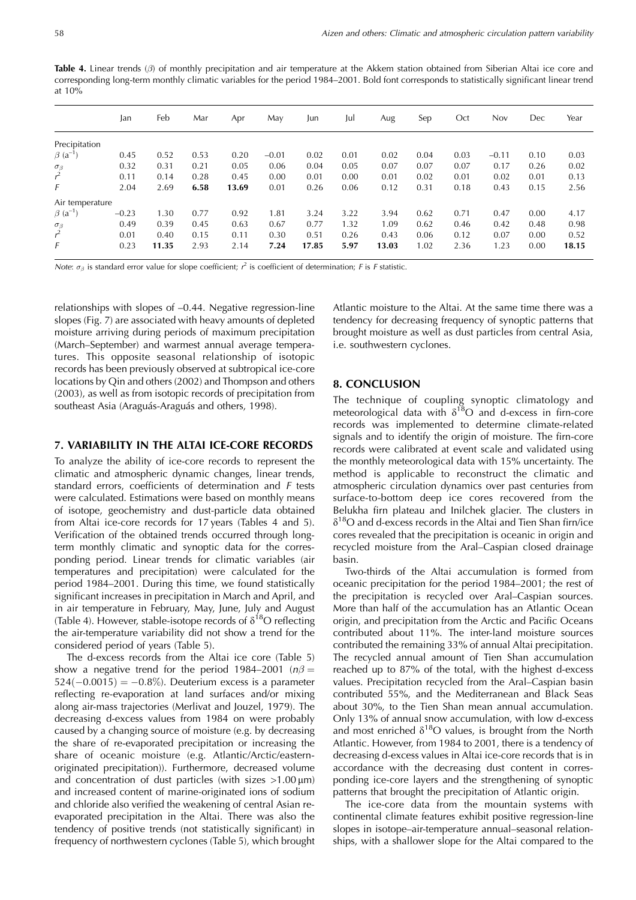**Table 4.** Linear trends (β) of monthly precipitation and air temperature at the Akkem station obtained from Siberian Altai ice core and corresponding long-term monthly climatic variables for the period 1984–2001. Bold font corresponds to statistically significant linear trend at 10%

|                              | Jan     | Feb   | Mar  | Apr   | May     | Jun   | Jul  | Aug   | Sep  | Oct  | Nov     | Dec  | Year  |
|------------------------------|---------|-------|------|-------|---------|-------|------|-------|------|------|---------|------|-------|
| Precipitation                |         |       |      |       |         |       |      |       |      |      |         |      |       |
| $\beta$ (a <sup>-1</sup>     | 0.45    | 0.52  | 0.53 | 0.20  | $-0.01$ | 0.02  | 0.01 | 0.02  | 0.04 | 0.03 | $-0.11$ | 0.10 | 0.03  |
|                              | 0.32    | 0.31  | 0.21 | 0.05  | 0.06    | 0.04  | 0.05 | 0.07  | 0.07 | 0.07 | 0.17    | 0.26 | 0.02  |
| $\frac{\sigma_{\beta}}{r^2}$ | 0.11    | 0.14  | 0.28 | 0.45  | 0.00    | 0.01  | 0.00 | 0.01  | 0.02 | 0.01 | 0.02    | 0.01 | 0.13  |
| F                            | 2.04    | 2.69  | 6.58 | 13.69 | 0.01    | 0.26  | 0.06 | 0.12  | 0.31 | 0.18 | 0.43    | 0.15 | 2.56  |
| Air temperature              |         |       |      |       |         |       |      |       |      |      |         |      |       |
| $\beta$ (a <sup>-1</sup> )   | $-0.23$ | 1.30  | 0.77 | 0.92  | 1.81    | 3.24  | 3.22 | 3.94  | 0.62 | 0.71 | 0.47    | 0.00 | 4.17  |
|                              | 0.49    | 0.39  | 0.45 | 0.63  | 0.67    | 0.77  | 1.32 | 1.09  | 0.62 | 0.46 | 0.42    | 0.48 | 0.98  |
| $\frac{\sigma_{\beta}}{r^2}$ | 0.01    | 0.40  | 0.15 | 0.11  | 0.30    | 0.51  | 0.26 | 0.43  | 0.06 | 0.12 | 0.07    | 0.00 | 0.52  |
| F                            | 0.23    | 11.35 | 2.93 | 2.14  | 7.24    | 17.85 | 5.97 | 13.03 | 1.02 | 2.36 | 1.23    | 0.00 | 18.15 |

Note:  $\sigma_\beta$  is standard error value for slope coefficient;  $r^2$  is coefficient of determination; F is F statistic.

relationships with slopes of –0.44. Negative regression-line slopes (Fig. 7) are associated with heavy amounts of depleted moisture arriving during periods of maximum precipitation (March–September) and warmest annual average temperatures. This opposite seasonal relationship of isotopic records has been previously observed at subtropical ice-core locations by Qin and others (2002) and Thompson and others (2003), as well as from isotopic records of precipitation from southeast Asia (Araguás-Araguás and others, 1998).

#### **7. VARIABILITY IN THE ALTAI ICE-CORE RECORDS**

To analyze the ability of ice-core records to represent the climatic and atmospheric dynamic changes, linear trends, standard errors, coefficients of determination and F tests were calculated. Estimations were based on monthly means of isotope, geochemistry and dust-particle data obtained from Altai ice-core records for 17 years (Tables 4 and 5). Verification of the obtained trends occurred through longterm monthly climatic and synoptic data for the corresponding period. Linear trends for climatic variables (air temperatures and precipitation) were calculated for the period 1984–2001. During this time, we found statistically significant increases in precipitation in March and April, and in air temperature in February, May, June, July and August (Table 4). However, stable-isotope records of  $\delta^{18}O$  reflecting the air-temperature variability did not show a trend for the considered period of years (Table 5).

The d-excess records from the Altai ice core (Table 5) show a negative trend for the period 1984–2001 ( $n\beta$  =  $524(-0.0015) = -0.8\%$ ). Deuterium excess is a parameter reflecting re-evaporation at land surfaces and/or mixing along air-mass trajectories (Merlivat and Jouzel, 1979). The decreasing d-excess values from 1984 on were probably caused by a changing source of moisture (e.g. by decreasing the share of re-evaporated precipitation or increasing the share of oceanic moisture (e.g. Atlantic/Arctic/easternoriginated precipitation)). Furthermore, decreased volume and concentration of dust particles (with sizes  $>1.00 \mu m$ ) and increased content of marine-originated ions of sodium and chloride also verified the weakening of central Asian reevaporated precipitation in the Altai. There was also the tendency of positive trends (not statistically significant) in frequency of northwestern cyclones (Table 5), which brought

Atlantic moisture to the Altai. At the same time there was a tendency for decreasing frequency of synoptic patterns that brought moisture as well as dust particles from central Asia, i.e. southwestern cyclones.

#### **8. CONCLUSION**

The technique of coupling synoptic climatology and meteorological data with  $\delta^{18}O$  and d-excess in firn-core records was implemented to determine climate-related signals and to identify the origin of moisture. The firn-core records were calibrated at event scale and validated using the monthly meteorological data with 15% uncertainty. The method is applicable to reconstruct the climatic and atmospheric circulation dynamics over past centuries from surface-to-bottom deep ice cores recovered from the Belukha firn plateau and Inilchek glacier. The clusters in  $\delta^{18}$ O and d-excess records in the Altai and Tien Shan firn/ice cores revealed that the precipitation is oceanic in origin and recycled moisture from the Aral–Caspian closed drainage basin.

Two-thirds of the Altai accumulation is formed from oceanic precipitation for the period 1984–2001; the rest of the precipitation is recycled over Aral–Caspian sources. More than half of the accumulation has an Atlantic Ocean origin, and precipitation from the Arctic and Pacific Oceans contributed about 11%. The inter-land moisture sources contributed the remaining 33% of annual Altai precipitation. The recycled annual amount of Tien Shan accumulation reached up to 87% of the total, with the highest d-excess values. Precipitation recycled from the Aral–Caspian basin contributed 55%, and the Mediterranean and Black Seas about 30%, to the Tien Shan mean annual accumulation. Only 13% of annual snow accumulation, with low d-excess and most enriched  $\delta^{18}O$  values, is brought from the North Atlantic. However, from 1984 to 2001, there is a tendency of decreasing d-excess values in Altai ice-core records that is in accordance with the decreasing dust content in corresponding ice-core layers and the strengthening of synoptic patterns that brought the precipitation of Atlantic origin.

The ice-core data from the mountain systems with continental climate features exhibit positive regression-line slopes in isotope–air-temperature annual–seasonal relationships, with a shallower slope for the Altai compared to the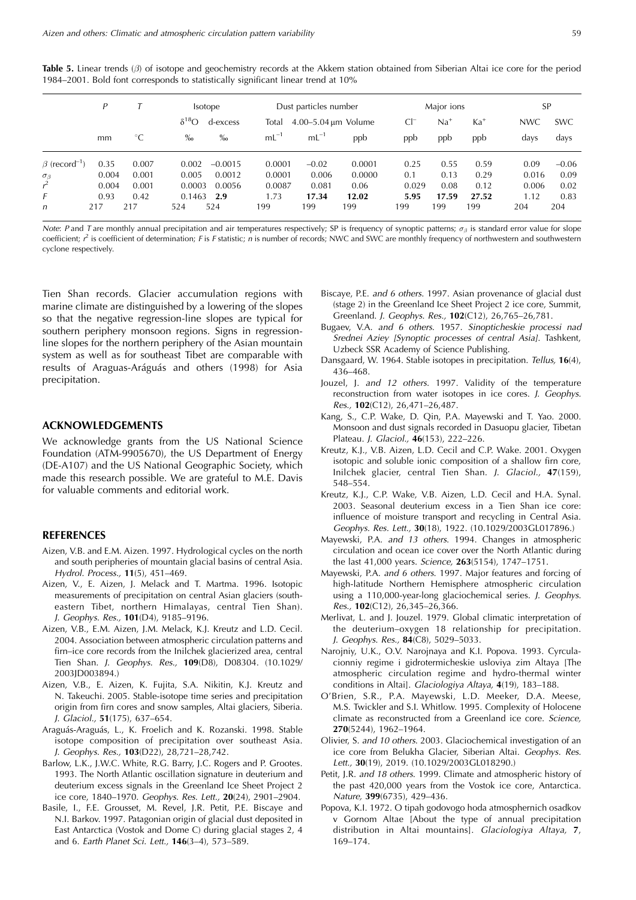|                                 | P     | <b>Isotope</b> |                |           |           | Dust particles number |        | Major ions |       | <b>SP</b> |            |            |
|---------------------------------|-------|----------------|----------------|-----------|-----------|-----------------------|--------|------------|-------|-----------|------------|------------|
|                                 |       |                | $\delta^{18}O$ | d-excess  | Total     | 4.00-5.04 µm Volume   |        | $Cl^-$     | $Na+$ | $Ka+$     | <b>NWC</b> | <b>SWC</b> |
|                                 | mm    | $^{\circ}C$    | $\%$           | $\%$      | $mL^{-1}$ | $mL^{-1}$             | ppb    | ppb        | ppb   | ppb       | days       | days       |
| $\beta$ (record <sup>-1</sup> ) | 0.35  | 0.007          | 0.002          | $-0.0015$ | 0.0001    | $-0.02$               | 0.0001 | 0.25       | 0.55  | 0.59      | 0.09       | $-0.06$    |
| $\sigma_{\beta}$                | 0.004 | 0.001          | 0.005          | 0.0012    | 0.0001    | 0.006                 | 0.0000 | 0.1        | 0.13  | 0.29      | 0.016      | 0.09       |
|                                 | 0.004 | 0.001          | 0.0003         | 0.0056    | 0.0087    | 0.081                 | 0.06   | 0.029      | 0.08  | 0.12      | 0.006      | 0.02       |
| F                               | 0.93  | 0.42           | 0.1463         | 2.9       | 1.73      | 17.34                 | 12.02  | 5.95       | 17.59 | 27.52     | 1.12       | 0.83       |
| n                               | 217   | 217            | 524            | 524       | 199       | 199                   | 199    | 199        | 199   | 199       | 204        | 204        |

**Table 5.** Linear trends (β) of isotope and geochemistry records at the Akkem station obtained from Siberian Altai ice core for the period 1984–2001. Bold font corresponds to statistically significant linear trend at 10%

Note: P and T are monthly annual precipitation and air temperatures respectively; SP is frequency of synoptic patterns; *-* is standard error value for slope coefficient;  $\hat{r}$  is coefficient of determination; F is F statistic; n is number of records; NWC and SWC are monthly frequency of northwestern and southwestern cyclone respectively.

Tien Shan records. Glacier accumulation regions with marine climate are distinguished by a lowering of the slopes so that the negative regression-line slopes are typical for southern periphery monsoon regions. Signs in regressionline slopes for the northern periphery of the Asian mountain system as well as for southeast Tibet are comparable with results of Araguas-Aráguás and others (1998) for Asia precipitation.

#### **ACKNOWLEDGEMENTS**

We acknowledge grants from the US National Science Foundation (ATM-9905670), the US Department of Energy (DE-A107) and the US National Geographic Society, which made this research possible. We are grateful to M.E. Davis for valuable comments and editorial work.

#### **REFERENCES**

- Aizen, V.B. and E.M. Aizen. 1997. Hydrological cycles on the north and south peripheries of mountain glacial basins of central Asia. Hydrol. Process., **11**(5), 451–469.
- Aizen, V., E. Aizen, J. Melack and T. Martma. 1996. Isotopic measurements of precipitation on central Asian glaciers (southeastern Tibet, northern Himalayas, central Tien Shan). J. Geophys. Res., **101**(D4), 9185–9196.
- Aizen, V.B., E.M. Aizen, J.M. Melack, K.J. Kreutz and L.D. Cecil. 2004. Association between atmospheric circulation patterns and firn–ice core records from the Inilchek glacierized area, central Tien Shan. J. Geophys. Res., **109**(D8), D08304. (10.1029/ 2003JD003894.)
- Aizen, V.B., E. Aizen, K. Fujita, S.A. Nikitin, K.J. Kreutz and N. Takeuchi. 2005. Stable-isotope time series and precipitation origin from firn cores and snow samples, Altai glaciers, Siberia. J. Glaciol., **51**(175), 637–654.
- Araguás-Araguás, L., K. Froelich and K. Rozanski. 1998. Stable isotope composition of precipitation over southeast Asia. J. Geophys. Res., **103**(D22), 28,721–28,742.
- Barlow, L.K., J.W.C. White, R.G. Barry, J.C. Rogers and P. Grootes. 1993. The North Atlantic oscillation signature in deuterium and deuterium excess signals in the Greenland Ice Sheet Project 2 ice core, 1840–1970. Geophys. Res. Lett., **20**(24), 2901–2904.
- Basile, I., F.E. Grousset, M. Revel, J.R. Petit, P.E. Biscaye and N.I. Barkov. 1997. Patagonian origin of glacial dust deposited in East Antarctica (Vostok and Dome C) during glacial stages 2, 4 and 6. Earth Planet Sci. Lett., **146**(3–4), 573–589.
- Biscaye, P.E. and 6 others. 1997. Asian provenance of glacial dust (stage 2) in the Greenland Ice Sheet Project 2 ice core, Summit, Greenland. J. Geophys. Res., **102**(C12), 26,765–26,781.
- Bugaev, V.A. and 6 others. 1957. Sinopticheskie processi nad Srednei Aziey [Synoptic processes of central Asia]. Tashkent, Uzbeck SSR Academy of Science Publishing.
- Dansgaard, W. 1964. Stable isotopes in precipitation. Tellus, **16**(4), 436–468.
- Jouzel, J. and 12 others. 1997. Validity of the temperature reconstruction from water isotopes in ice cores. J. Geophys. Res., **102**(C12), 26,471–26,487.
- Kang, S., C.P. Wake, D. Qin, P.A. Mayewski and T. Yao. 2000. Monsoon and dust signals recorded in Dasuopu glacier, Tibetan Plateau. J. Glaciol., **46**(153), 222–226.
- Kreutz, K.J., V.B. Aizen, L.D. Cecil and C.P. Wake. 2001. Oxygen isotopic and soluble ionic composition of a shallow firn core, Inilchek glacier, central Tien Shan. J. Glaciol., **47**(159), 548–554.
- Kreutz, K.J., C.P. Wake, V.B. Aizen, L.D. Cecil and H.A. Synal. 2003. Seasonal deuterium excess in a Tien Shan ice core: influence of moisture transport and recycling in Central Asia. Geophys. Res. Lett., **30**(18), 1922. (10.1029/2003GL017896.)
- Mayewski, P.A. and 13 others. 1994. Changes in atmospheric circulation and ocean ice cover over the North Atlantic during the last 41,000 years. Science, **263**(5154), 1747–1751.
- Mayewski, P.A. and 6 others. 1997. Major features and forcing of high-latitude Northern Hemisphere atmospheric circulation using a 110,000-year-long glaciochemical series. J. Geophys. Res., **102**(C12), 26,345–26,366.
- Merlivat, L. and J. Jouzel. 1979. Global climatic interpretation of the deuterium–oxygen 18 relationship for precipitation. J. Geophys. Res., **84**(C8), 5029–5033.
- Narojniy, U.K., O.V. Narojnaya and K.I. Popova. 1993. Cyrculacionniy regime i gidrotermicheskie usloviya zim Altaya [The atmospheric circulation regime and hydro-thermal winter conditions in Altai]. Glaciologiya Altaya, **4**(19), 183–188.
- O'Brien, S.R., P.A. Mayewski, L.D. Meeker, D.A. Meese, M.S. Twickler and S.I. Whitlow. 1995. Complexity of Holocene climate as reconstructed from a Greenland ice core. Science, **270**(5244), 1962–1964.
- Olivier, S. and 10 others. 2003. Glaciochemical investigation of an ice core from Belukha Glacier, Siberian Altai. Geophys. Res. Lett., **30**(19), 2019. (10.1029/2003GL018290.)
- Petit, J.R. and 18 others. 1999. Climate and atmospheric history of the past 420,000 years from the Vostok ice core, Antarctica. Nature, **399**(6735), 429–436.
- Popova, K.I. 1972. O tipah godovogo hoda atmosphernich osadkov v Gornom Altae [About the type of annual precipitation distribution in Altai mountains]. Glaciologiya Altaya, **7**, 169–174.